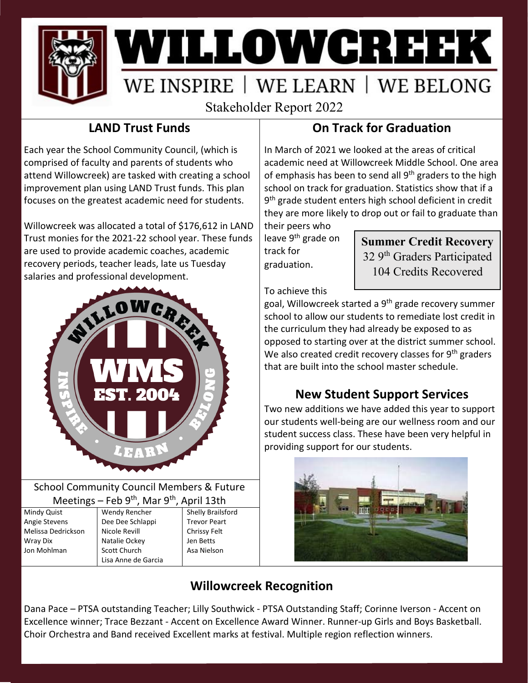

# WILLOWGREEK WE INSPIRE | WE LEARN | WE BELONG

Stakeholder Report 2022

## **LAND Trust Funds**

Each year the School Community Council, (which is comprised of faculty and parents of students who attend Willowcreek) are tasked with creating a school improvement plan using LAND Trust funds. This plan focuses on the greatest academic need for students.

Willowcreek was allocated a total of \$176,612 in LAND Trust monies for the 2021-22 school year. These funds are used to provide academic coaches, academic recovery periods, teacher leads, late us Tuesday salaries and professional development.



#### School Community Council Members & Future Meetings – Feb 9<sup>th</sup>, Mar 9<sup>th</sup>, April 13th

Mindy Quist Angie Stevens Melissa Dedrickson Wray Dix Jon Mohlman

Wendy Rencher Dee Dee Schlappi Nicole Revill Natalie Ockey Scott Church Lisa Anne de Garcia Shelly Brailsford Trevor Peart Chrissy Felt Jen Betts Asa Nielson

### **On Track for Graduation**

In March of 2021 we looked at the areas of critical academic need at Willowcreek Middle School. One area of emphasis has been to send all 9<sup>th</sup> graders to the high school on track for graduation. Statistics show that if a 9<sup>th</sup> grade student enters high school deficient in credit they are more likely to drop out or fail to graduate than their peers who

leave 9<sup>th</sup> grade on track for graduation.

**Summer Credit Recovery** 32 9th Graders Participated 104 Credits Recovered

To achieve this

goal, Willowcreek started a 9<sup>th</sup> grade recovery summer school to allow our students to remediate lost credit in the curriculum they had already be exposed to as opposed to starting over at the district summer school. We also created credit recovery classes for  $9<sup>th</sup>$  graders that are built into the school master schedule.

#### **New Student Support Services**

Two new additions we have added this year to support our students well-being are our wellness room and our student success class. These have been very helpful in providing support for our students.



# **Willowcreek Recognition**

Dana Pace – PTSA outstanding Teacher; Lilly Southwick - PTSA Outstanding Staff; Corinne Iverson - Accent on Excellence winner; Trace Bezzant - Accent on Excellence Award Winner. Runner-up Girls and Boys Basketball. Choir Orchestra and Band received Excellent marks at festival. Multiple region reflection winners.